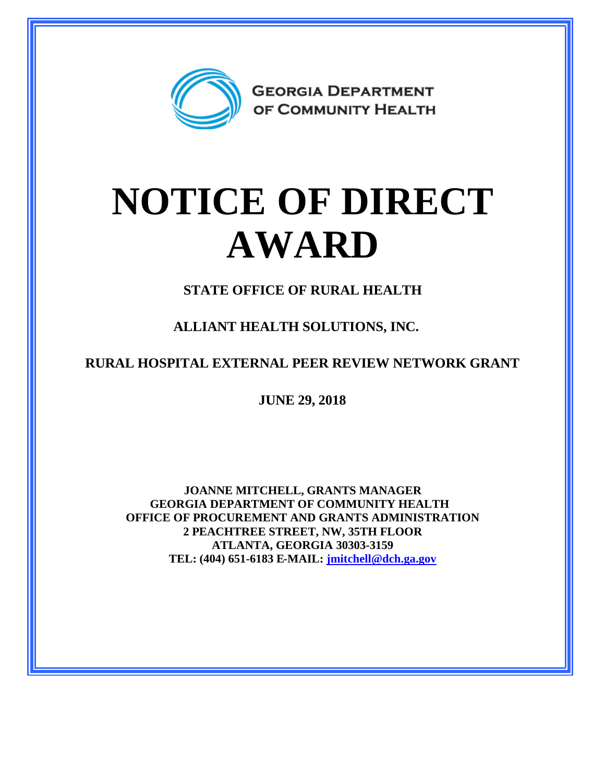

## **NOTICE OF DIRECT AWARD**

**STATE OFFICE OF RURAL HEALTH**

**ALLIANT HEALTH SOLUTIONS, INC.**

**RURAL HOSPITAL EXTERNAL PEER REVIEW NETWORK GRANT**

**JUNE 29, 2018**

**JOANNE MITCHELL, GRANTS MANAGER GEORGIA DEPARTMENT OF COMMUNITY HEALTH OFFICE OF PROCUREMENT AND GRANTS ADMINISTRATION 2 PEACHTREE STREET, NW, 35TH FLOOR ATLANTA, GEORGIA 30303-3159 TEL: (404) 651-6183 E-MAIL: [jmitchell@dch.ga.gov](mailto:jmitchell@dch.ga.gov)**